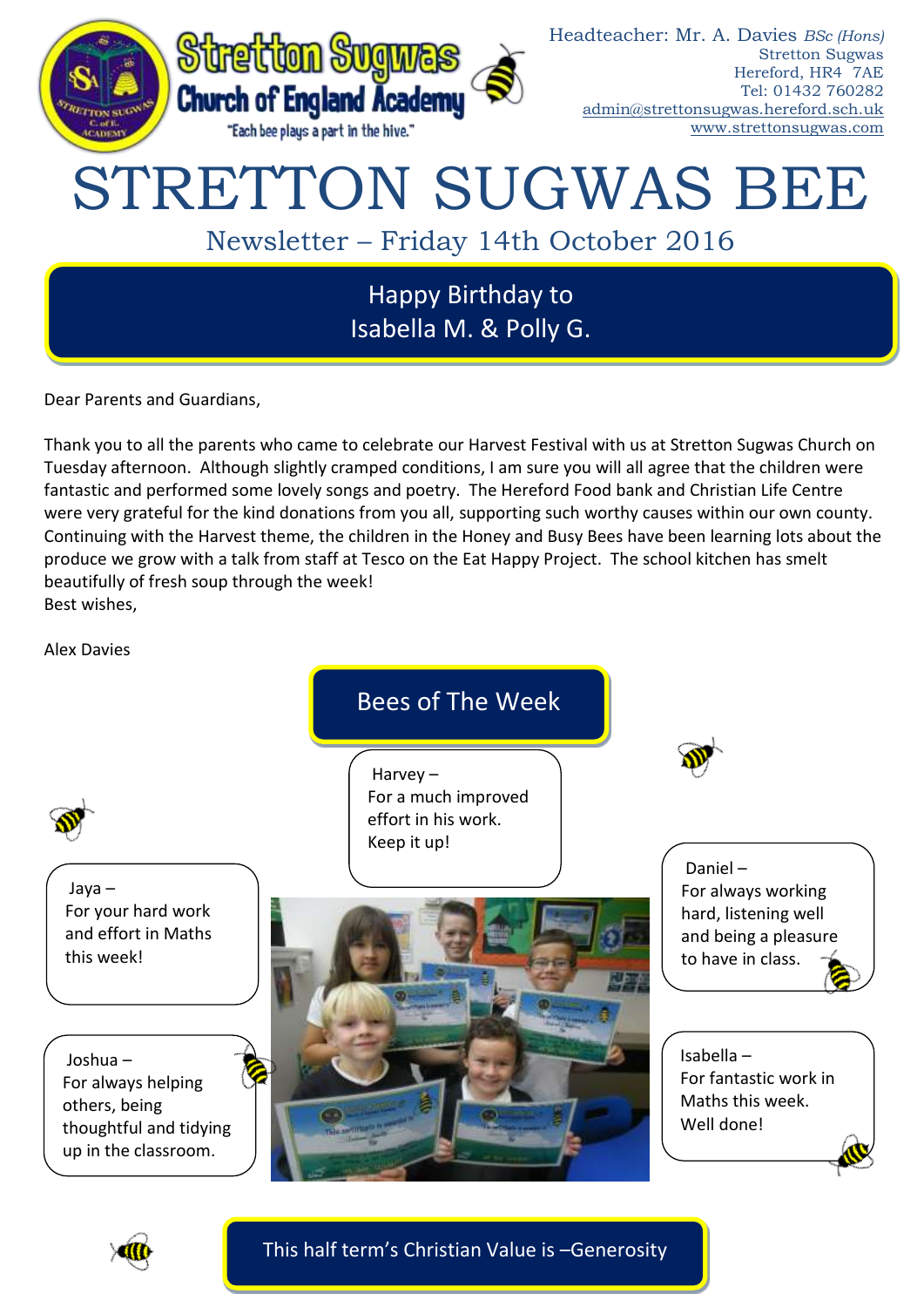

Dear Parents and Guardians,

Thank you to all the parents who came to celebrate our Harvest Festival with us at Stretton Sugwas Church on Tuesday afternoon. Although slightly cramped conditions, I am sure you will all agree that the children were fantastic and performed some lovely songs and poetry. The Hereford Food bank and Christian Life Centre were very grateful for the kind donations from you all, supporting such worthy causes within our own county. Continuing with the Harvest theme, the children in the Honey and Busy Bees have been learning lots about the produce we grow with a talk from staff at Tesco on the Eat Happy Project. The school kitchen has smelt beautifully of fresh soup through the week! Best wishes,

Alex Davies

Bees of The Week

Jaya – For your hard work and effort in Maths this week!

Joshua – For always helping others, being thoughtful and tidying up in the classroom.

Harvey – For a much improved effort in his work. Keep it up!



Daniel – For always working hard, listening well and being a pleasure to have in class.

Isabella – For fantastic work in Maths this week. Well done!



This half term's Christian Value is –Generosity